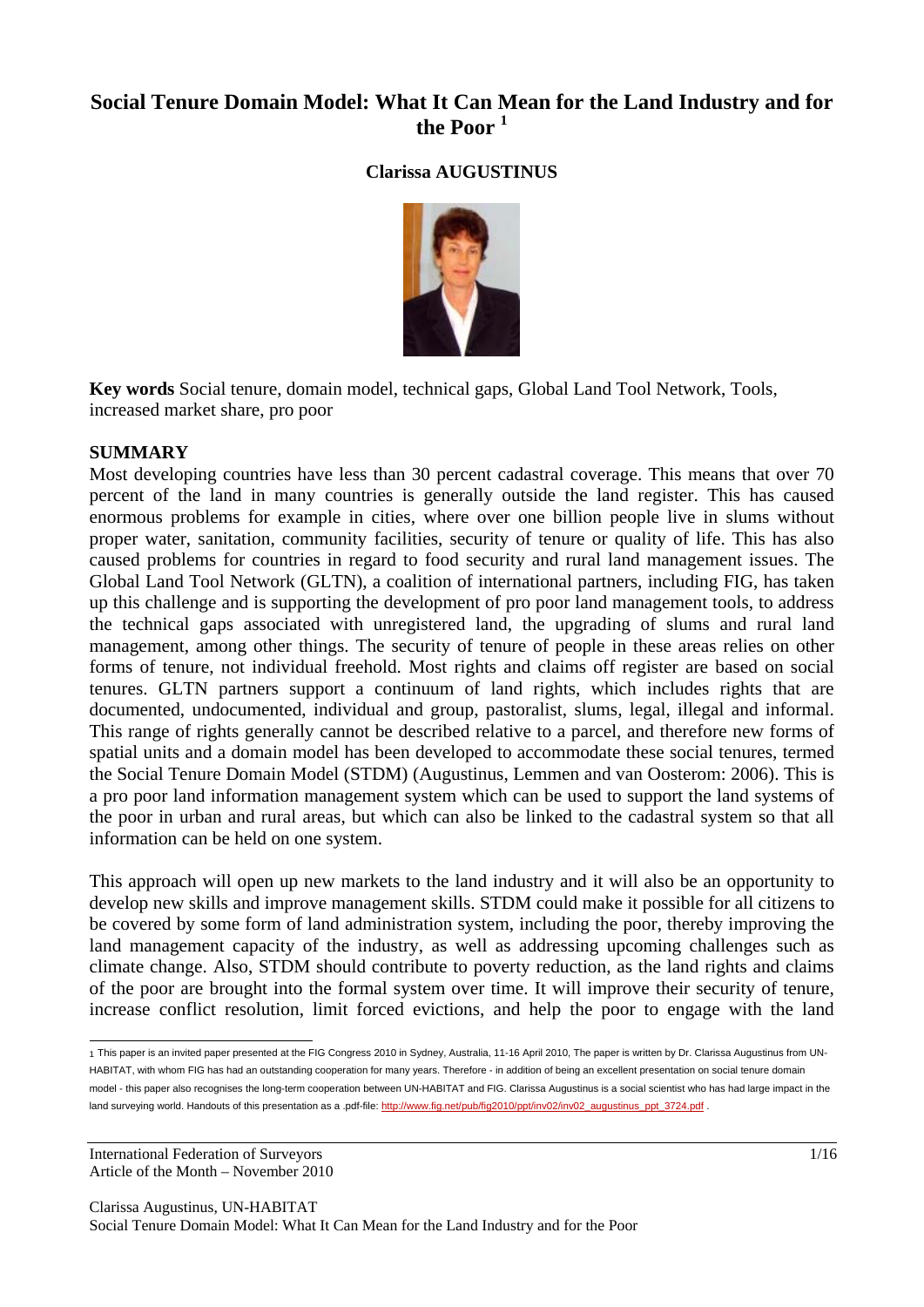# **Social Tenure Domain Model: What It Can Mean for the Land Industry and for the Poor <sup>1</sup>**

#### **Clarissa AUGUSTINUS**



**Key words** Social tenure, domain model, technical gaps, Global Land Tool Network, Tools, increased market share, pro poor

#### **SUMMARY**

Most developing countries have less than 30 percent cadastral coverage. This means that over 70 percent of the land in many countries is generally outside the land register. This has caused enormous problems for example in cities, where over one billion people live in slums without proper water, sanitation, community facilities, security of tenure or quality of life. This has also caused problems for countries in regard to food security and rural land management issues. The Global Land Tool Network (GLTN), a coalition of international partners, including FIG, has taken up this challenge and is supporting the development of pro poor land management tools, to address the technical gaps associated with unregistered land, the upgrading of slums and rural land management, among other things. The security of tenure of people in these areas relies on other forms of tenure, not individual freehold. Most rights and claims off register are based on social tenures. GLTN partners support a continuum of land rights, which includes rights that are documented, undocumented, individual and group, pastoralist, slums, legal, illegal and informal. This range of rights generally cannot be described relative to a parcel, and therefore new forms of spatial units and a domain model has been developed to accommodate these social tenures, termed the Social Tenure Domain Model (STDM) (Augustinus, Lemmen and van Oosterom: 2006). This is a pro poor land information management system which can be used to support the land systems of the poor in urban and rural areas, but which can also be linked to the cadastral system so that all information can be held on one system.

This approach will open up new markets to the land industry and it will also be an opportunity to develop new skills and improve management skills. STDM could make it possible for all citizens to be covered by some form of land administration system, including the poor, thereby improving the land management capacity of the industry, as well as addressing upcoming challenges such as climate change. Also, STDM should contribute to poverty reduction, as the land rights and claims of the poor are brought into the formal system over time. It will improve their security of tenure, increase conflict resolution, limit forced evictions, and help the poor to engage with the land

International Federation of Surveyors 1/16 Article of the Month – November 2010

 1 This paper is an invited paper presented at the FIG Congress 2010 in Sydney, Australia, 11-16 April 2010, The paper is written by Dr. Clarissa Augustinus from UN-HABITAT, with whom FIG has had an outstanding cooperation for many years. Therefore - in addition of being an excellent presentation on social tenure domain model - this paper also recognises the long-term cooperation between UN-HABITAT and FIG. Clarissa Augustinus is a social scientist who has had large impact in the land surveying world. Handouts of this presentation as a .pdf-file: http://www.fig.net/pub/fig2010/ppt/inv02/inv02\_augustinus\_ppt\_3724.pdf .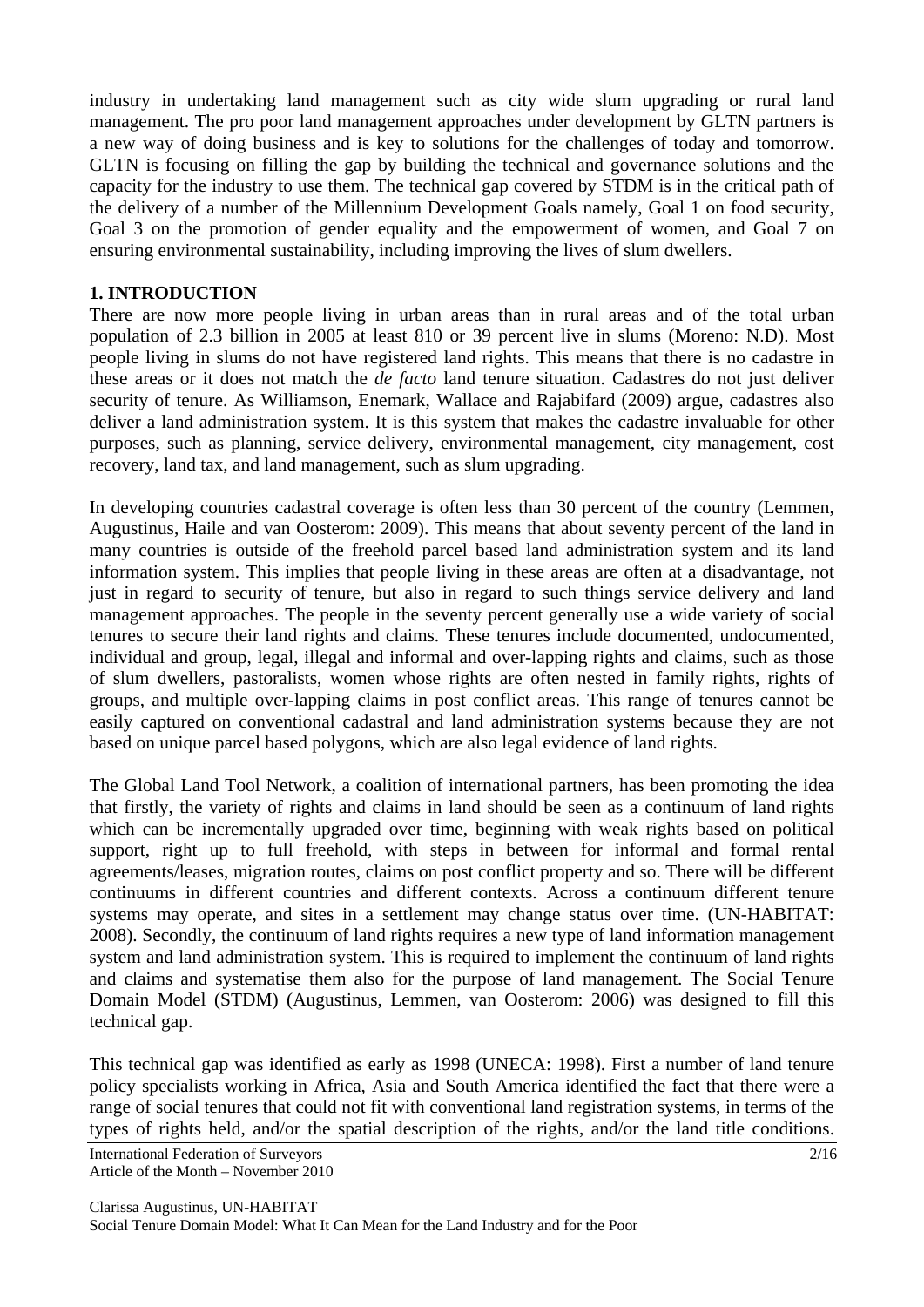industry in undertaking land management such as city wide slum upgrading or rural land management. The pro poor land management approaches under development by GLTN partners is a new way of doing business and is key to solutions for the challenges of today and tomorrow. GLTN is focusing on filling the gap by building the technical and governance solutions and the capacity for the industry to use them. The technical gap covered by STDM is in the critical path of the delivery of a number of the Millennium Development Goals namely, Goal 1 on food security, Goal 3 on the promotion of gender equality and the empowerment of women, and Goal 7 on ensuring environmental sustainability, including improving the lives of slum dwellers.

#### **1. INTRODUCTION**

There are now more people living in urban areas than in rural areas and of the total urban population of 2.3 billion in 2005 at least 810 or 39 percent live in slums (Moreno: N.D). Most people living in slums do not have registered land rights. This means that there is no cadastre in these areas or it does not match the *de facto* land tenure situation. Cadastres do not just deliver security of tenure. As Williamson, Enemark, Wallace and Rajabifard (2009) argue, cadastres also deliver a land administration system. It is this system that makes the cadastre invaluable for other purposes, such as planning, service delivery, environmental management, city management, cost recovery, land tax, and land management, such as slum upgrading.

In developing countries cadastral coverage is often less than 30 percent of the country (Lemmen, Augustinus, Haile and van Oosterom: 2009). This means that about seventy percent of the land in many countries is outside of the freehold parcel based land administration system and its land information system. This implies that people living in these areas are often at a disadvantage, not just in regard to security of tenure, but also in regard to such things service delivery and land management approaches. The people in the seventy percent generally use a wide variety of social tenures to secure their land rights and claims. These tenures include documented, undocumented, individual and group, legal, illegal and informal and over-lapping rights and claims, such as those of slum dwellers, pastoralists, women whose rights are often nested in family rights, rights of groups, and multiple over-lapping claims in post conflict areas. This range of tenures cannot be easily captured on conventional cadastral and land administration systems because they are not based on unique parcel based polygons, which are also legal evidence of land rights.

The Global Land Tool Network, a coalition of international partners, has been promoting the idea that firstly, the variety of rights and claims in land should be seen as a continuum of land rights which can be incrementally upgraded over time, beginning with weak rights based on political support, right up to full freehold, with steps in between for informal and formal rental agreements/leases, migration routes, claims on post conflict property and so. There will be different continuums in different countries and different contexts. Across a continuum different tenure systems may operate, and sites in a settlement may change status over time. (UN-HABITAT: 2008). Secondly, the continuum of land rights requires a new type of land information management system and land administration system. This is required to implement the continuum of land rights and claims and systematise them also for the purpose of land management. The Social Tenure Domain Model (STDM) (Augustinus, Lemmen, van Oosterom: 2006) was designed to fill this technical gap.

This technical gap was identified as early as 1998 (UNECA: 1998). First a number of land tenure policy specialists working in Africa, Asia and South America identified the fact that there were a range of social tenures that could not fit with conventional land registration systems, in terms of the types of rights held, and/or the spatial description of the rights, and/or the land title conditions.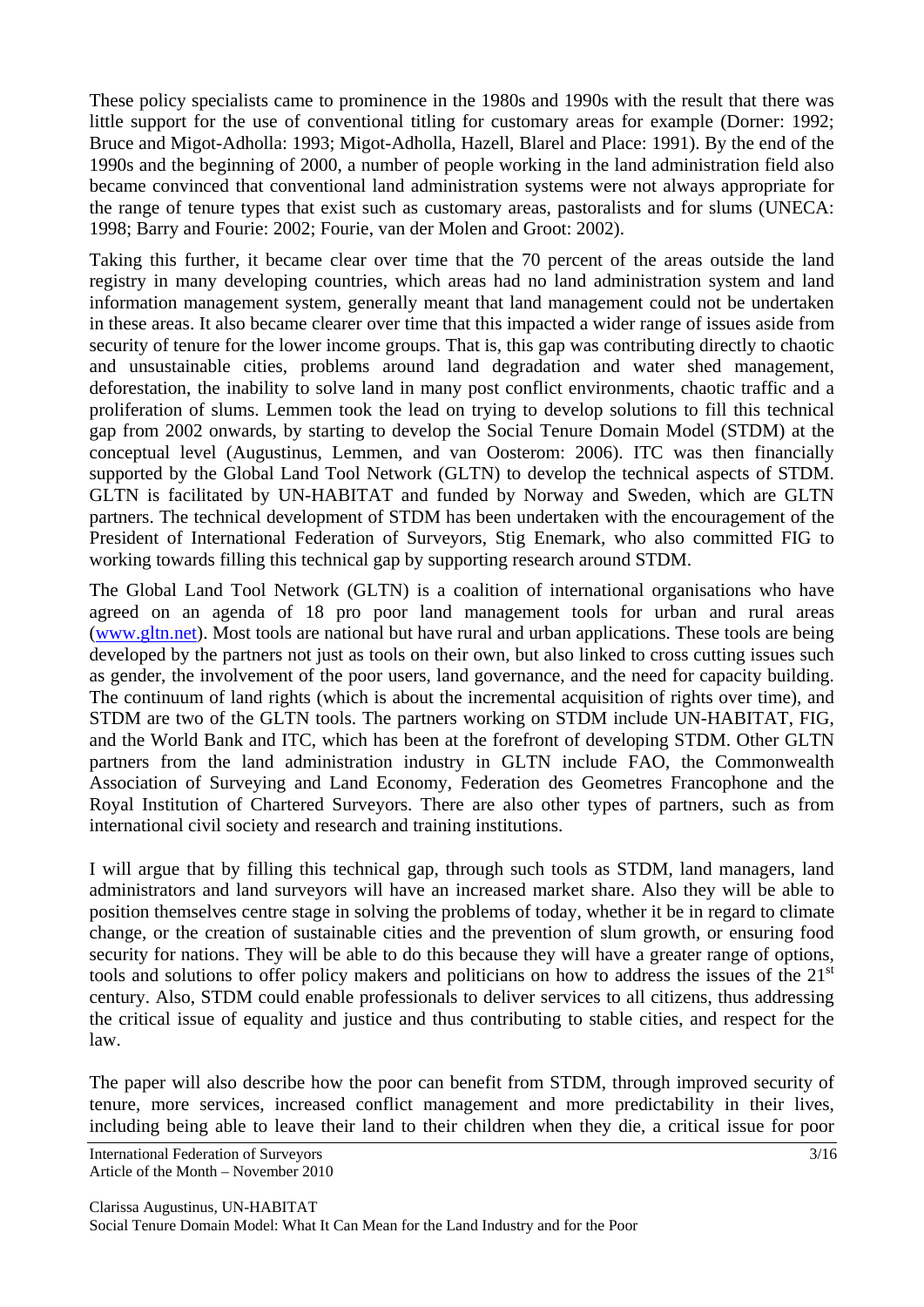These policy specialists came to prominence in the 1980s and 1990s with the result that there was little support for the use of conventional titling for customary areas for example (Dorner: 1992; Bruce and Migot-Adholla: 1993; Migot-Adholla, Hazell, Blarel and Place: 1991). By the end of the 1990s and the beginning of 2000, a number of people working in the land administration field also became convinced that conventional land administration systems were not always appropriate for the range of tenure types that exist such as customary areas, pastoralists and for slums (UNECA: 1998; Barry and Fourie: 2002; Fourie, van der Molen and Groot: 2002).

Taking this further, it became clear over time that the 70 percent of the areas outside the land registry in many developing countries, which areas had no land administration system and land information management system, generally meant that land management could not be undertaken in these areas. It also became clearer over time that this impacted a wider range of issues aside from security of tenure for the lower income groups. That is, this gap was contributing directly to chaotic and unsustainable cities, problems around land degradation and water shed management, deforestation, the inability to solve land in many post conflict environments, chaotic traffic and a proliferation of slums. Lemmen took the lead on trying to develop solutions to fill this technical gap from 2002 onwards, by starting to develop the Social Tenure Domain Model (STDM) at the conceptual level (Augustinus, Lemmen, and van Oosterom: 2006). ITC was then financially supported by the Global Land Tool Network (GLTN) to develop the technical aspects of STDM. GLTN is facilitated by UN-HABITAT and funded by Norway and Sweden, which are GLTN partners. The technical development of STDM has been undertaken with the encouragement of the President of International Federation of Surveyors, Stig Enemark, who also committed FIG to working towards filling this technical gap by supporting research around STDM.

The Global Land Tool Network (GLTN) is a coalition of international organisations who have agreed on an agenda of 18 pro poor land management tools for urban and rural areas (www.gltn.net). Most tools are national but have rural and urban applications. These tools are being developed by the partners not just as tools on their own, but also linked to cross cutting issues such as gender, the involvement of the poor users, land governance, and the need for capacity building. The continuum of land rights (which is about the incremental acquisition of rights over time), and STDM are two of the GLTN tools. The partners working on STDM include UN-HABITAT, FIG, and the World Bank and ITC, which has been at the forefront of developing STDM. Other GLTN partners from the land administration industry in GLTN include FAO, the Commonwealth Association of Surveying and Land Economy, Federation des Geometres Francophone and the Royal Institution of Chartered Surveyors. There are also other types of partners, such as from international civil society and research and training institutions.

I will argue that by filling this technical gap, through such tools as STDM, land managers, land administrators and land surveyors will have an increased market share. Also they will be able to position themselves centre stage in solving the problems of today, whether it be in regard to climate change, or the creation of sustainable cities and the prevention of slum growth, or ensuring food security for nations. They will be able to do this because they will have a greater range of options, tools and solutions to offer policy makers and politicians on how to address the issues of the  $21<sup>st</sup>$ century. Also, STDM could enable professionals to deliver services to all citizens, thus addressing the critical issue of equality and justice and thus contributing to stable cities, and respect for the law.

The paper will also describe how the poor can benefit from STDM, through improved security of tenure, more services, increased conflict management and more predictability in their lives, including being able to leave their land to their children when they die, a critical issue for poor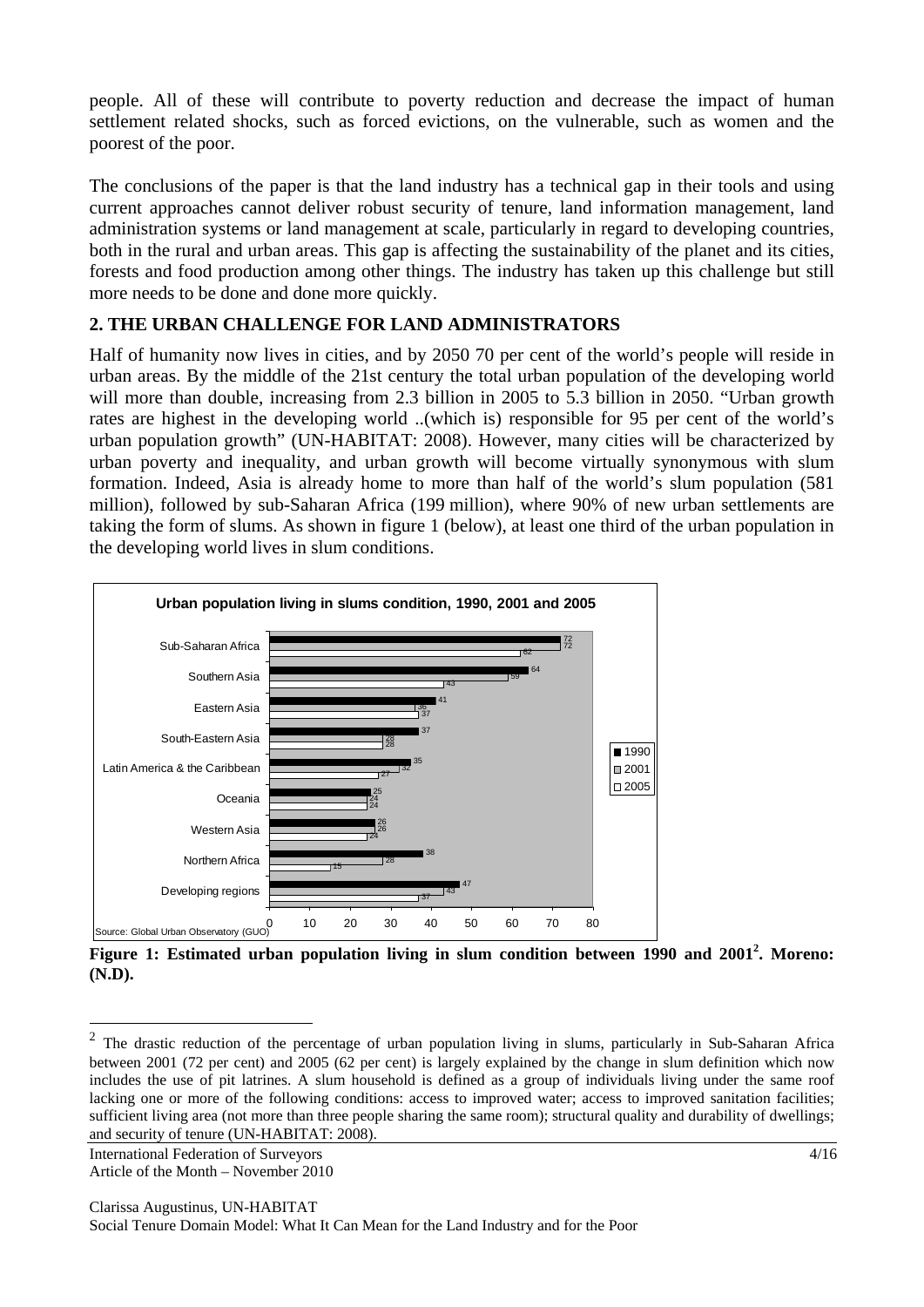people. All of these will contribute to poverty reduction and decrease the impact of human settlement related shocks, such as forced evictions, on the vulnerable, such as women and the poorest of the poor.

The conclusions of the paper is that the land industry has a technical gap in their tools and using current approaches cannot deliver robust security of tenure, land information management, land administration systems or land management at scale, particularly in regard to developing countries, both in the rural and urban areas. This gap is affecting the sustainability of the planet and its cities, forests and food production among other things. The industry has taken up this challenge but still more needs to be done and done more quickly.

### **2. THE URBAN CHALLENGE FOR LAND ADMINISTRATORS**

Half of humanity now lives in cities, and by 2050 70 per cent of the world's people will reside in urban areas. By the middle of the 21st century the total urban population of the developing world will more than double, increasing from 2.3 billion in 2005 to 5.3 billion in 2050. "Urban growth rates are highest in the developing world ..(which is) responsible for 95 per cent of the world's urban population growth" (UN-HABITAT: 2008). However, many cities will be characterized by urban poverty and inequality, and urban growth will become virtually synonymous with slum formation. Indeed, Asia is already home to more than half of the world's slum population (581 million), followed by sub-Saharan Africa (199 million), where 90% of new urban settlements are taking the form of slums. As shown in figure 1 (below), at least one third of the urban population in the developing world lives in slum conditions.



Figure 1: Estimated urban population living in slum condition between 1990 and 2001<sup>2</sup>. Moreno: **(N.D).**

 $\overline{a}$ 

 $2$  The drastic reduction of the percentage of urban population living in slums, particularly in Sub-Saharan Africa between 2001 (72 per cent) and 2005 (62 per cent) is largely explained by the change in slum definition which now includes the use of pit latrines. A slum household is defined as a group of individuals living under the same roof lacking one or more of the following conditions: access to improved water; access to improved sanitation facilities; sufficient living area (not more than three people sharing the same room); structural quality and durability of dwellings; and security of tenure (UN-HABITAT: 2008).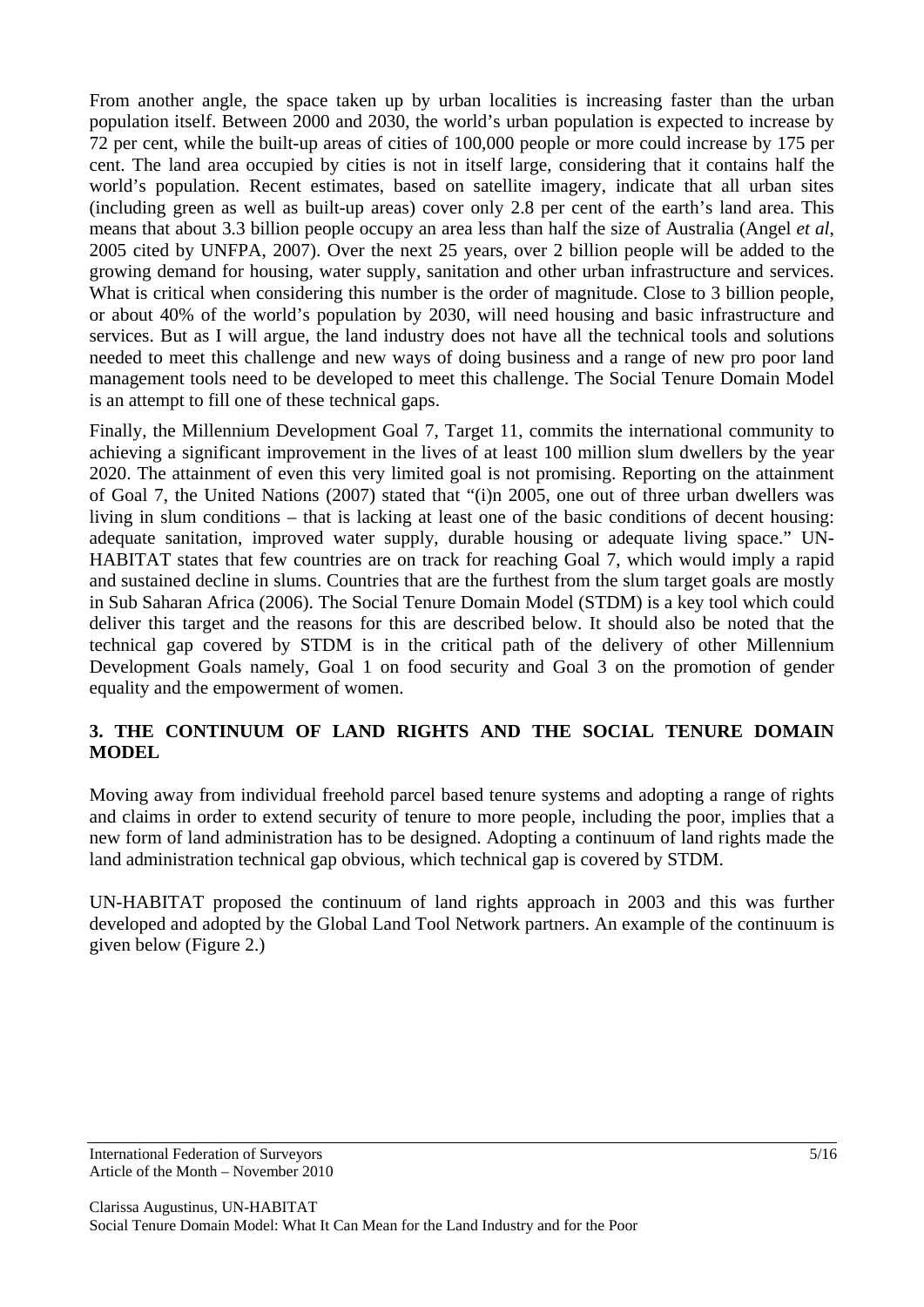From another angle, the space taken up by urban localities is increasing faster than the urban population itself. Between 2000 and 2030, the world's urban population is expected to increase by 72 per cent, while the built-up areas of cities of 100,000 people or more could increase by 175 per cent. The land area occupied by cities is not in itself large, considering that it contains half the world's population. Recent estimates, based on satellite imagery, indicate that all urban sites (including green as well as built-up areas) cover only 2.8 per cent of the earth's land area. This means that about 3.3 billion people occupy an area less than half the size of Australia (Angel *et al*, 2005 cited by UNFPA, 2007). Over the next 25 years, over 2 billion people will be added to the growing demand for housing, water supply, sanitation and other urban infrastructure and services. What is critical when considering this number is the order of magnitude. Close to 3 billion people, or about 40% of the world's population by 2030, will need housing and basic infrastructure and services. But as I will argue, the land industry does not have all the technical tools and solutions needed to meet this challenge and new ways of doing business and a range of new pro poor land management tools need to be developed to meet this challenge. The Social Tenure Domain Model is an attempt to fill one of these technical gaps.

Finally, the Millennium Development Goal 7, Target 11, commits the international community to achieving a significant improvement in the lives of at least 100 million slum dwellers by the year 2020. The attainment of even this very limited goal is not promising. Reporting on the attainment of Goal 7, the United Nations (2007) stated that "(i)n 2005, one out of three urban dwellers was living in slum conditions – that is lacking at least one of the basic conditions of decent housing: adequate sanitation, improved water supply, durable housing or adequate living space." UN-HABITAT states that few countries are on track for reaching Goal 7, which would imply a rapid and sustained decline in slums. Countries that are the furthest from the slum target goals are mostly in Sub Saharan Africa (2006). The Social Tenure Domain Model (STDM) is a key tool which could deliver this target and the reasons for this are described below. It should also be noted that the technical gap covered by STDM is in the critical path of the delivery of other Millennium Development Goals namely, Goal 1 on food security and Goal 3 on the promotion of gender equality and the empowerment of women.

### **3. THE CONTINUUM OF LAND RIGHTS AND THE SOCIAL TENURE DOMAIN MODEL**

Moving away from individual freehold parcel based tenure systems and adopting a range of rights and claims in order to extend security of tenure to more people, including the poor, implies that a new form of land administration has to be designed. Adopting a continuum of land rights made the land administration technical gap obvious, which technical gap is covered by STDM.

UN-HABITAT proposed the continuum of land rights approach in 2003 and this was further developed and adopted by the Global Land Tool Network partners. An example of the continuum is given below (Figure 2.)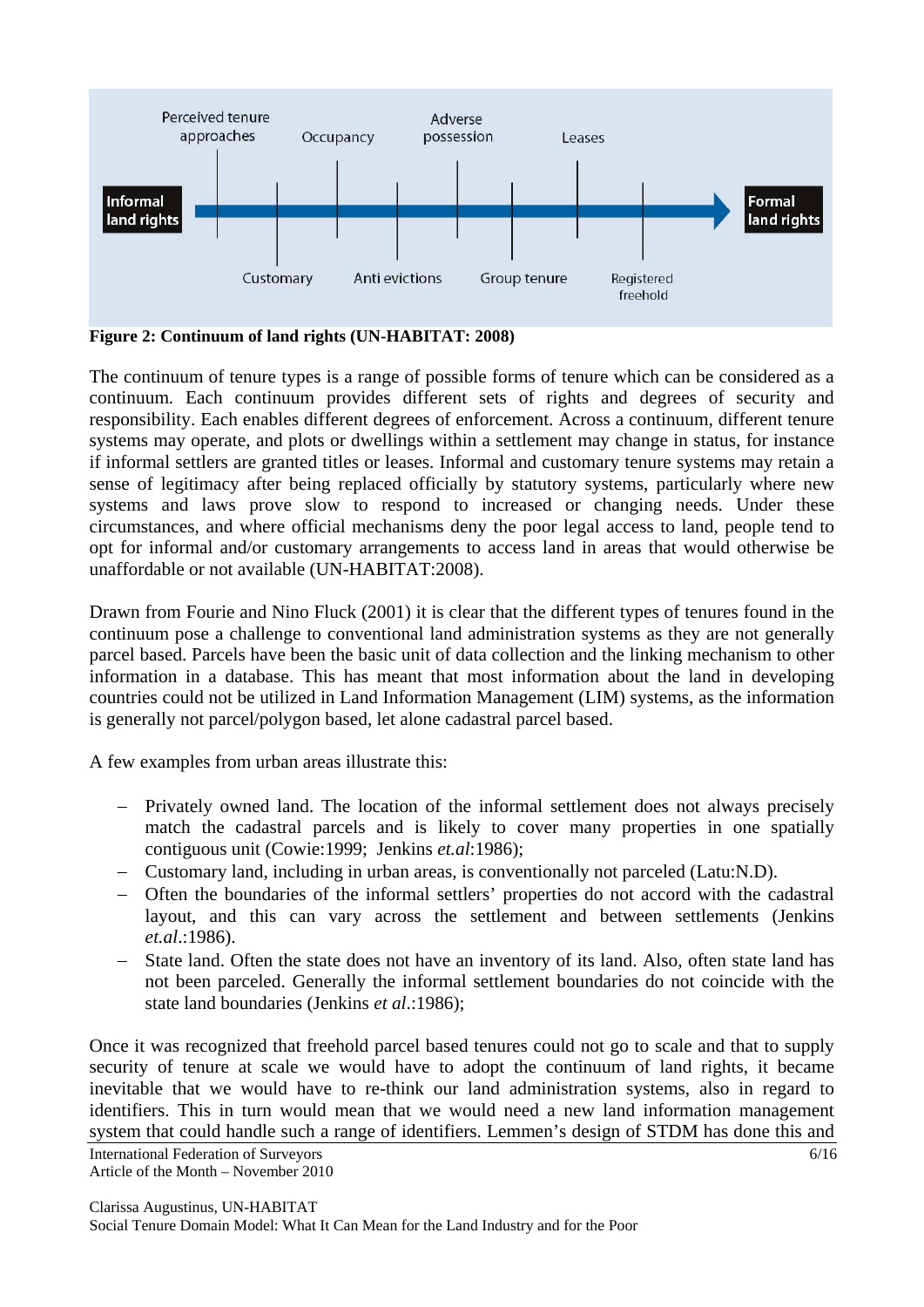

**Figure 2: Continuum of land rights (UN-HABITAT: 2008)** 

The continuum of tenure types is a range of possible forms of tenure which can be considered as a continuum. Each continuum provides different sets of rights and degrees of security and responsibility. Each enables different degrees of enforcement. Across a continuum, different tenure systems may operate, and plots or dwellings within a settlement may change in status, for instance if informal settlers are granted titles or leases. Informal and customary tenure systems may retain a sense of legitimacy after being replaced officially by statutory systems, particularly where new systems and laws prove slow to respond to increased or changing needs. Under these circumstances, and where official mechanisms deny the poor legal access to land, people tend to opt for informal and/or customary arrangements to access land in areas that would otherwise be unaffordable or not available (UN-HABITAT:2008).

Drawn from Fourie and Nino Fluck (2001) it is clear that the different types of tenures found in the continuum pose a challenge to conventional land administration systems as they are not generally parcel based. Parcels have been the basic unit of data collection and the linking mechanism to other information in a database. This has meant that most information about the land in developing countries could not be utilized in Land Information Management (LIM) systems, as the information is generally not parcel/polygon based, let alone cadastral parcel based.

A few examples from urban areas illustrate this:

- Privately owned land. The location of the informal settlement does not always precisely match the cadastral parcels and is likely to cover many properties in one spatially contiguous unit (Cowie:1999; Jenkins *et.al*:1986);
- Customary land, including in urban areas, is conventionally not parceled (Latu:N.D).
- Often the boundaries of the informal settlers' properties do not accord with the cadastral layout, and this can vary across the settlement and between settlements (Jenkins *et.al*.:1986).
- State land. Often the state does not have an inventory of its land. Also, often state land has not been parceled. Generally the informal settlement boundaries do not coincide with the state land boundaries (Jenkins *et al*.:1986);

Once it was recognized that freehold parcel based tenures could not go to scale and that to supply security of tenure at scale we would have to adopt the continuum of land rights, it became inevitable that we would have to re-think our land administration systems, also in regard to identifiers. This in turn would mean that we would need a new land information management system that could handle such a range of identifiers. Lemmen's design of STDM has done this and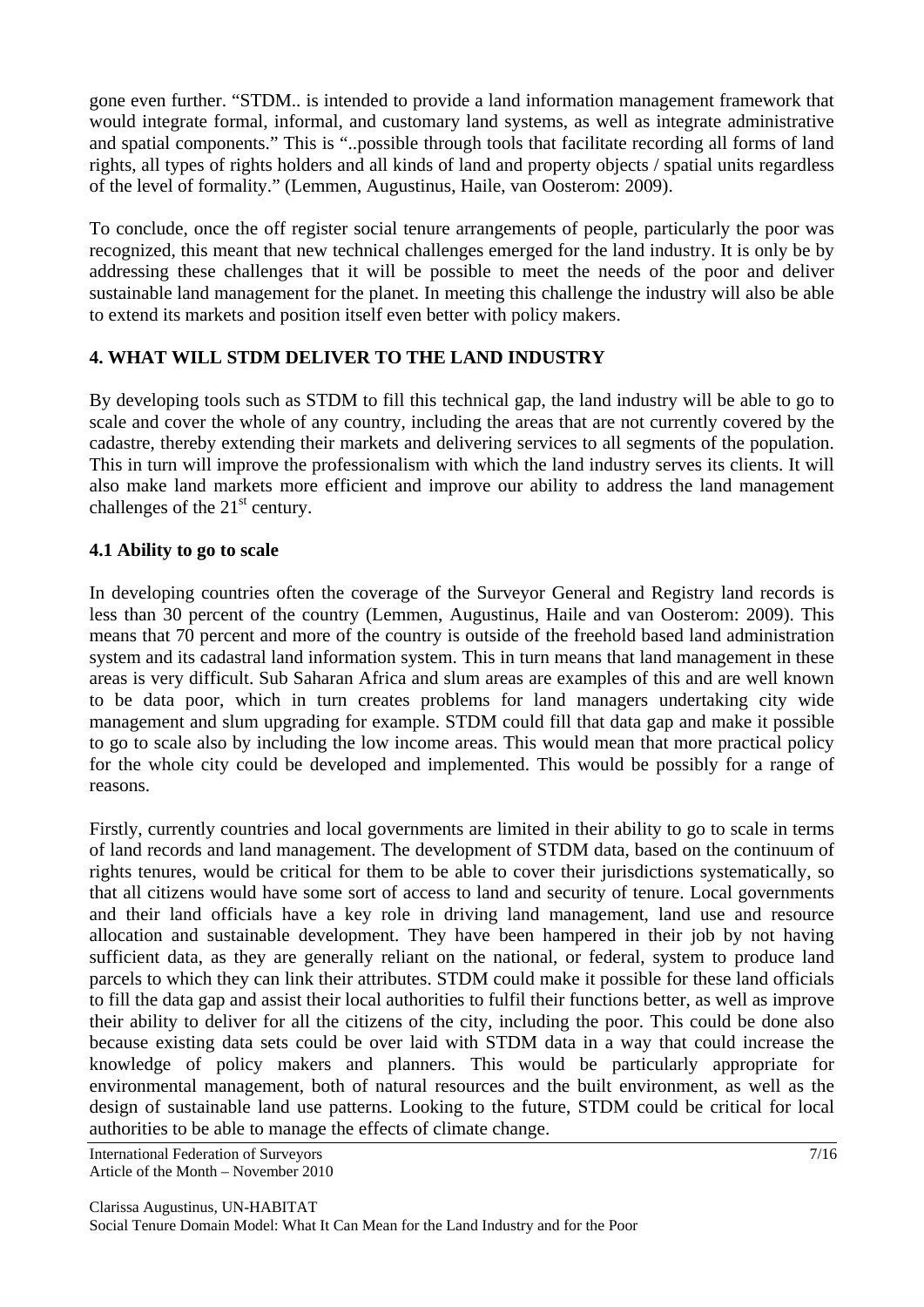gone even further. "STDM.. is intended to provide a land information management framework that would integrate formal, informal, and customary land systems, as well as integrate administrative and spatial components." This is "..possible through tools that facilitate recording all forms of land rights, all types of rights holders and all kinds of land and property objects / spatial units regardless of the level of formality." (Lemmen, Augustinus, Haile, van Oosterom: 2009).

To conclude, once the off register social tenure arrangements of people, particularly the poor was recognized, this meant that new technical challenges emerged for the land industry. It is only be by addressing these challenges that it will be possible to meet the needs of the poor and deliver sustainable land management for the planet. In meeting this challenge the industry will also be able to extend its markets and position itself even better with policy makers.

## **4. WHAT WILL STDM DELIVER TO THE LAND INDUSTRY**

By developing tools such as STDM to fill this technical gap, the land industry will be able to go to scale and cover the whole of any country, including the areas that are not currently covered by the cadastre, thereby extending their markets and delivering services to all segments of the population. This in turn will improve the professionalism with which the land industry serves its clients. It will also make land markets more efficient and improve our ability to address the land management challenges of the  $21<sup>st</sup>$  century.

### **4.1 Ability to go to scale**

In developing countries often the coverage of the Surveyor General and Registry land records is less than 30 percent of the country (Lemmen, Augustinus, Haile and van Oosterom: 2009). This means that 70 percent and more of the country is outside of the freehold based land administration system and its cadastral land information system. This in turn means that land management in these areas is very difficult. Sub Saharan Africa and slum areas are examples of this and are well known to be data poor, which in turn creates problems for land managers undertaking city wide management and slum upgrading for example. STDM could fill that data gap and make it possible to go to scale also by including the low income areas. This would mean that more practical policy for the whole city could be developed and implemented. This would be possibly for a range of reasons.

Firstly, currently countries and local governments are limited in their ability to go to scale in terms of land records and land management. The development of STDM data, based on the continuum of rights tenures, would be critical for them to be able to cover their jurisdictions systematically, so that all citizens would have some sort of access to land and security of tenure. Local governments and their land officials have a key role in driving land management, land use and resource allocation and sustainable development. They have been hampered in their job by not having sufficient data, as they are generally reliant on the national, or federal, system to produce land parcels to which they can link their attributes. STDM could make it possible for these land officials to fill the data gap and assist their local authorities to fulfil their functions better, as well as improve their ability to deliver for all the citizens of the city, including the poor. This could be done also because existing data sets could be over laid with STDM data in a way that could increase the knowledge of policy makers and planners. This would be particularly appropriate for environmental management, both of natural resources and the built environment, as well as the design of sustainable land use patterns. Looking to the future, STDM could be critical for local authorities to be able to manage the effects of climate change.

International Federation of Surveyors 7/16 Article of the Month – November 2010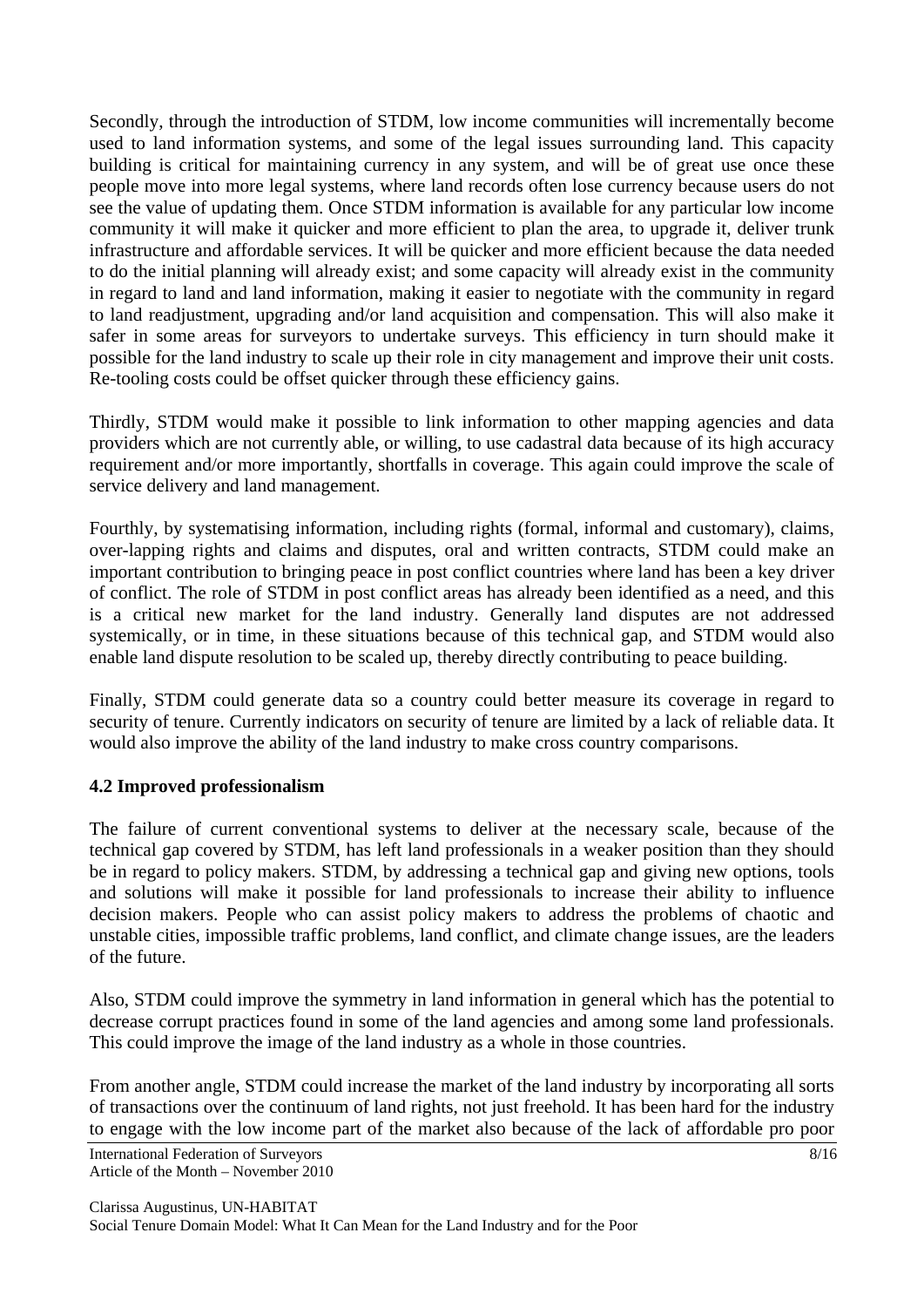Secondly, through the introduction of STDM, low income communities will incrementally become used to land information systems, and some of the legal issues surrounding land. This capacity building is critical for maintaining currency in any system, and will be of great use once these people move into more legal systems, where land records often lose currency because users do not see the value of updating them. Once STDM information is available for any particular low income community it will make it quicker and more efficient to plan the area, to upgrade it, deliver trunk infrastructure and affordable services. It will be quicker and more efficient because the data needed to do the initial planning will already exist; and some capacity will already exist in the community in regard to land and land information, making it easier to negotiate with the community in regard to land readjustment, upgrading and/or land acquisition and compensation. This will also make it safer in some areas for surveyors to undertake surveys. This efficiency in turn should make it possible for the land industry to scale up their role in city management and improve their unit costs. Re-tooling costs could be offset quicker through these efficiency gains.

Thirdly, STDM would make it possible to link information to other mapping agencies and data providers which are not currently able, or willing, to use cadastral data because of its high accuracy requirement and/or more importantly, shortfalls in coverage. This again could improve the scale of service delivery and land management.

Fourthly, by systematising information, including rights (formal, informal and customary), claims, over-lapping rights and claims and disputes, oral and written contracts, STDM could make an important contribution to bringing peace in post conflict countries where land has been a key driver of conflict. The role of STDM in post conflict areas has already been identified as a need, and this is a critical new market for the land industry. Generally land disputes are not addressed systemically, or in time, in these situations because of this technical gap, and STDM would also enable land dispute resolution to be scaled up, thereby directly contributing to peace building.

Finally, STDM could generate data so a country could better measure its coverage in regard to security of tenure. Currently indicators on security of tenure are limited by a lack of reliable data. It would also improve the ability of the land industry to make cross country comparisons.

## **4.2 Improved professionalism**

The failure of current conventional systems to deliver at the necessary scale, because of the technical gap covered by STDM, has left land professionals in a weaker position than they should be in regard to policy makers. STDM, by addressing a technical gap and giving new options, tools and solutions will make it possible for land professionals to increase their ability to influence decision makers. People who can assist policy makers to address the problems of chaotic and unstable cities, impossible traffic problems, land conflict, and climate change issues, are the leaders of the future.

Also, STDM could improve the symmetry in land information in general which has the potential to decrease corrupt practices found in some of the land agencies and among some land professionals. This could improve the image of the land industry as a whole in those countries.

From another angle, STDM could increase the market of the land industry by incorporating all sorts of transactions over the continuum of land rights, not just freehold. It has been hard for the industry to engage with the low income part of the market also because of the lack of affordable pro poor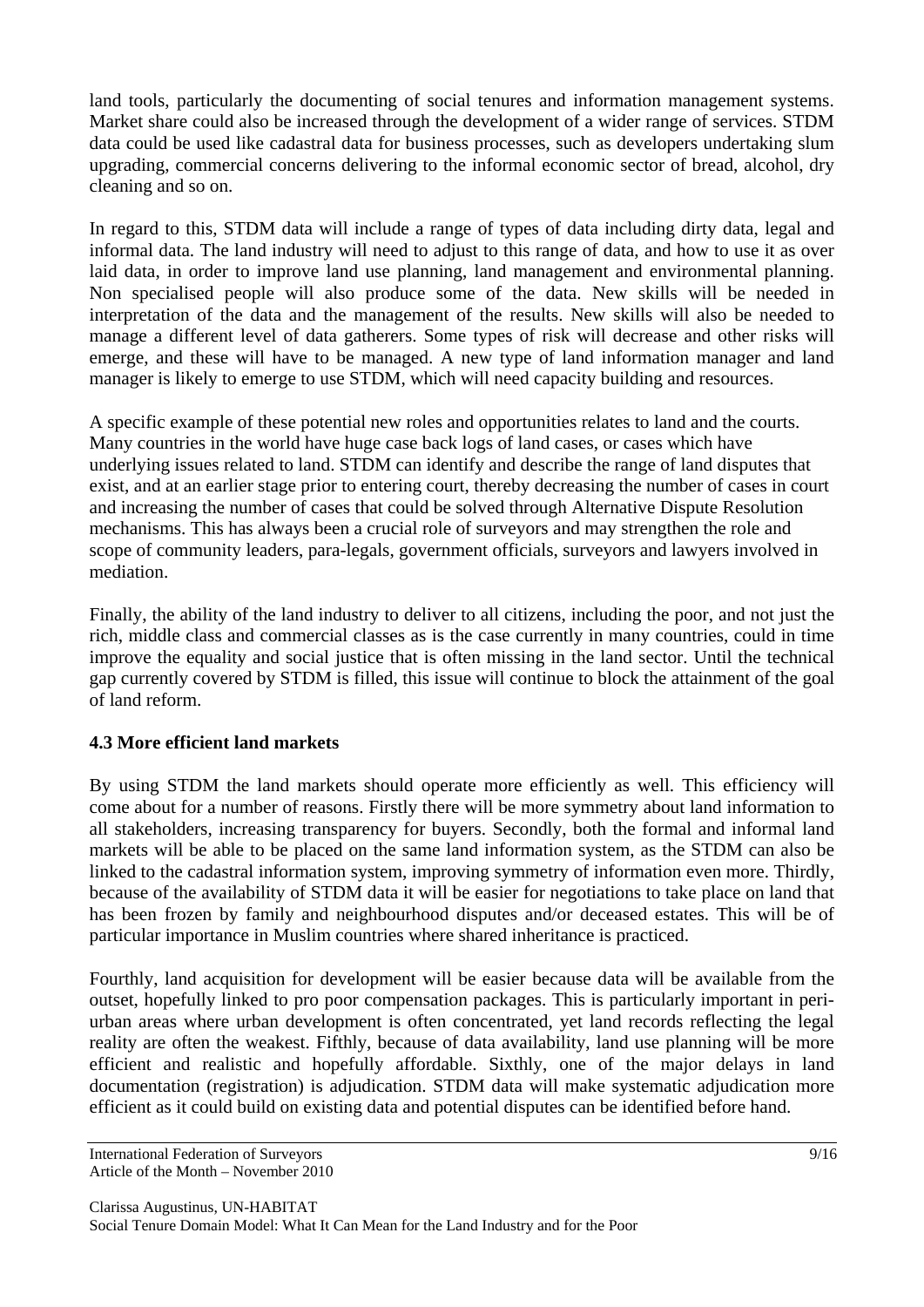land tools, particularly the documenting of social tenures and information management systems. Market share could also be increased through the development of a wider range of services. STDM data could be used like cadastral data for business processes, such as developers undertaking slum upgrading, commercial concerns delivering to the informal economic sector of bread, alcohol, dry cleaning and so on.

In regard to this, STDM data will include a range of types of data including dirty data, legal and informal data. The land industry will need to adjust to this range of data, and how to use it as over laid data, in order to improve land use planning, land management and environmental planning. Non specialised people will also produce some of the data. New skills will be needed in interpretation of the data and the management of the results. New skills will also be needed to manage a different level of data gatherers. Some types of risk will decrease and other risks will emerge, and these will have to be managed. A new type of land information manager and land manager is likely to emerge to use STDM, which will need capacity building and resources.

A specific example of these potential new roles and opportunities relates to land and the courts. Many countries in the world have huge case back logs of land cases, or cases which have underlying issues related to land. STDM can identify and describe the range of land disputes that exist, and at an earlier stage prior to entering court, thereby decreasing the number of cases in court and increasing the number of cases that could be solved through Alternative Dispute Resolution mechanisms. This has always been a crucial role of surveyors and may strengthen the role and scope of community leaders, para-legals, government officials, surveyors and lawyers involved in mediation.

Finally, the ability of the land industry to deliver to all citizens, including the poor, and not just the rich, middle class and commercial classes as is the case currently in many countries, could in time improve the equality and social justice that is often missing in the land sector. Until the technical gap currently covered by STDM is filled, this issue will continue to block the attainment of the goal of land reform.

## **4.3 More efficient land markets**

By using STDM the land markets should operate more efficiently as well. This efficiency will come about for a number of reasons. Firstly there will be more symmetry about land information to all stakeholders, increasing transparency for buyers. Secondly, both the formal and informal land markets will be able to be placed on the same land information system, as the STDM can also be linked to the cadastral information system, improving symmetry of information even more. Thirdly, because of the availability of STDM data it will be easier for negotiations to take place on land that has been frozen by family and neighbourhood disputes and/or deceased estates. This will be of particular importance in Muslim countries where shared inheritance is practiced.

Fourthly, land acquisition for development will be easier because data will be available from the outset, hopefully linked to pro poor compensation packages. This is particularly important in periurban areas where urban development is often concentrated, yet land records reflecting the legal reality are often the weakest. Fifthly, because of data availability, land use planning will be more efficient and realistic and hopefully affordable. Sixthly, one of the major delays in land documentation (registration) is adjudication. STDM data will make systematic adjudication more efficient as it could build on existing data and potential disputes can be identified before hand.

International Federation of Surveyors 9/16 Article of the Month – November 2010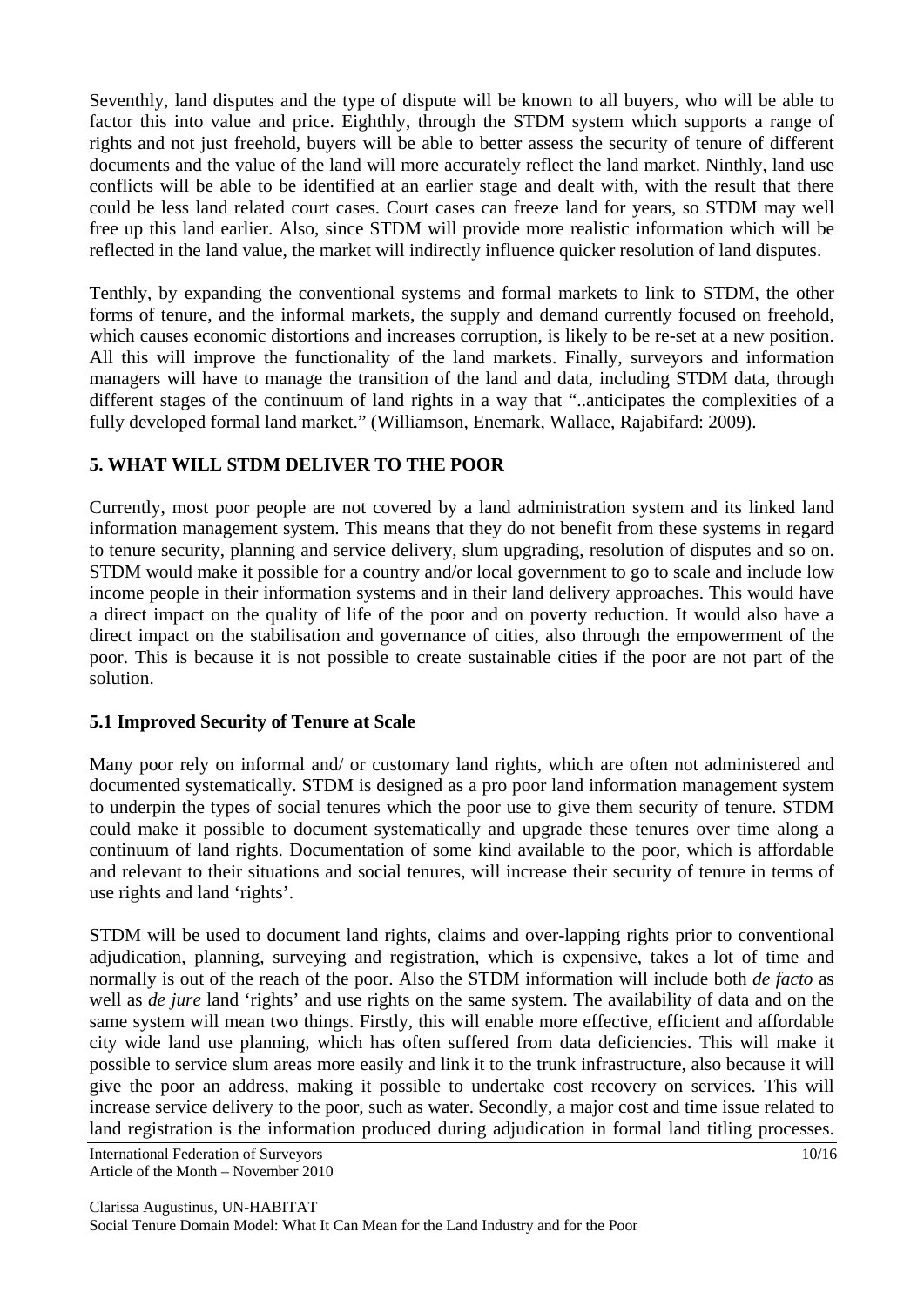Seventhly, land disputes and the type of dispute will be known to all buyers, who will be able to factor this into value and price. Eighthly, through the STDM system which supports a range of rights and not just freehold, buyers will be able to better assess the security of tenure of different documents and the value of the land will more accurately reflect the land market. Ninthly, land use conflicts will be able to be identified at an earlier stage and dealt with, with the result that there could be less land related court cases. Court cases can freeze land for years, so STDM may well free up this land earlier. Also, since STDM will provide more realistic information which will be reflected in the land value, the market will indirectly influence quicker resolution of land disputes.

Tenthly, by expanding the conventional systems and formal markets to link to STDM, the other forms of tenure, and the informal markets, the supply and demand currently focused on freehold, which causes economic distortions and increases corruption, is likely to be re-set at a new position. All this will improve the functionality of the land markets. Finally, surveyors and information managers will have to manage the transition of the land and data, including STDM data, through different stages of the continuum of land rights in a way that "..anticipates the complexities of a fully developed formal land market." (Williamson, Enemark, Wallace, Rajabifard: 2009).

## **5. WHAT WILL STDM DELIVER TO THE POOR**

Currently, most poor people are not covered by a land administration system and its linked land information management system. This means that they do not benefit from these systems in regard to tenure security, planning and service delivery, slum upgrading, resolution of disputes and so on. STDM would make it possible for a country and/or local government to go to scale and include low income people in their information systems and in their land delivery approaches. This would have a direct impact on the quality of life of the poor and on poverty reduction. It would also have a direct impact on the stabilisation and governance of cities, also through the empowerment of the poor. This is because it is not possible to create sustainable cities if the poor are not part of the solution.

### **5.1 Improved Security of Tenure at Scale**

Many poor rely on informal and/ or customary land rights, which are often not administered and documented systematically. STDM is designed as a pro poor land information management system to underpin the types of social tenures which the poor use to give them security of tenure. STDM could make it possible to document systematically and upgrade these tenures over time along a continuum of land rights. Documentation of some kind available to the poor, which is affordable and relevant to their situations and social tenures, will increase their security of tenure in terms of use rights and land 'rights'.

STDM will be used to document land rights, claims and over-lapping rights prior to conventional adjudication, planning, surveying and registration, which is expensive, takes a lot of time and normally is out of the reach of the poor. Also the STDM information will include both *de facto* as well as *de jure* land 'rights' and use rights on the same system. The availability of data and on the same system will mean two things. Firstly, this will enable more effective, efficient and affordable city wide land use planning, which has often suffered from data deficiencies. This will make it possible to service slum areas more easily and link it to the trunk infrastructure, also because it will give the poor an address, making it possible to undertake cost recovery on services. This will increase service delivery to the poor, such as water. Secondly, a major cost and time issue related to land registration is the information produced during adjudication in formal land titling processes.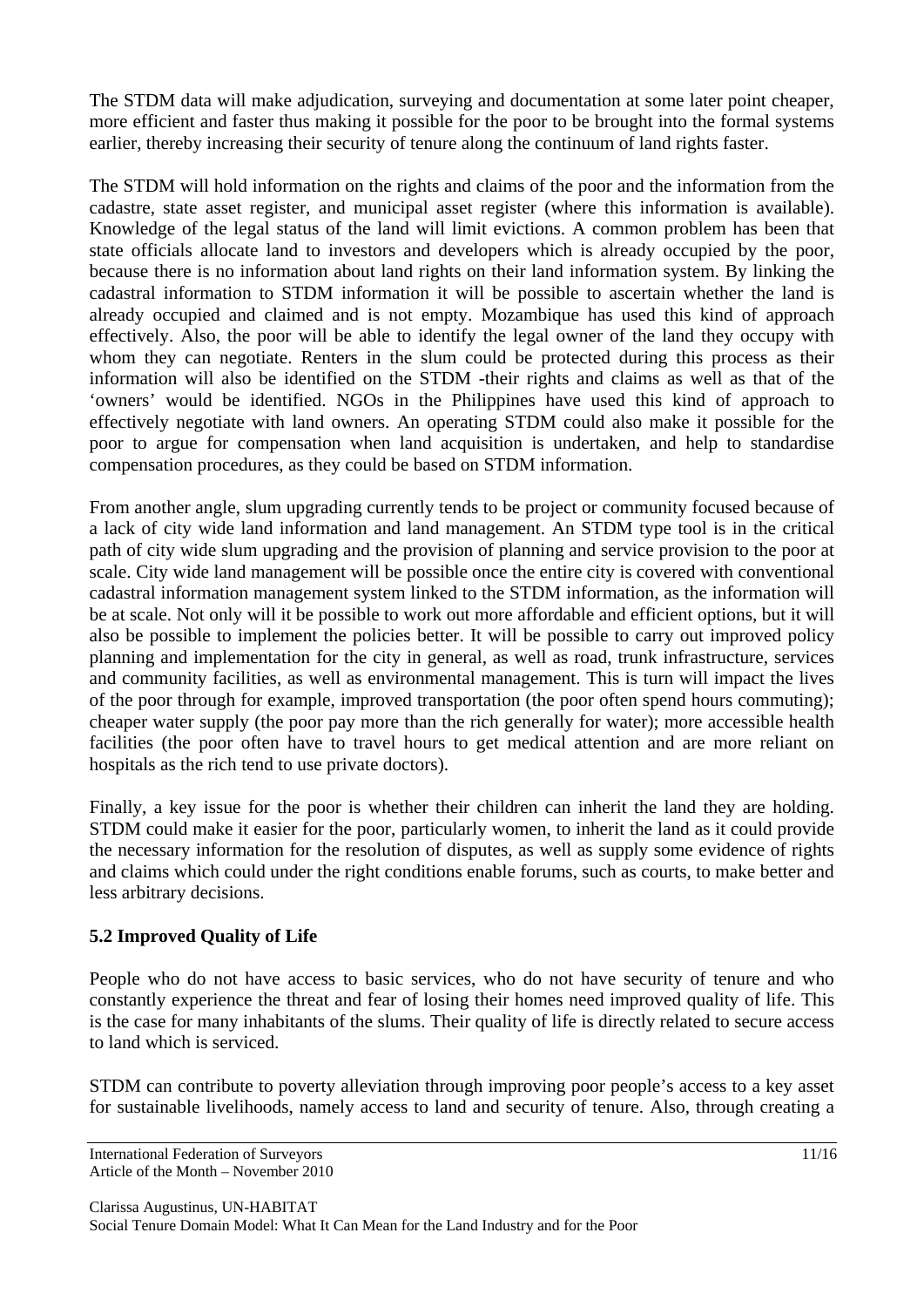The STDM data will make adjudication, surveying and documentation at some later point cheaper, more efficient and faster thus making it possible for the poor to be brought into the formal systems earlier, thereby increasing their security of tenure along the continuum of land rights faster.

The STDM will hold information on the rights and claims of the poor and the information from the cadastre, state asset register, and municipal asset register (where this information is available). Knowledge of the legal status of the land will limit evictions. A common problem has been that state officials allocate land to investors and developers which is already occupied by the poor, because there is no information about land rights on their land information system. By linking the cadastral information to STDM information it will be possible to ascertain whether the land is already occupied and claimed and is not empty. Mozambique has used this kind of approach effectively. Also, the poor will be able to identify the legal owner of the land they occupy with whom they can negotiate. Renters in the slum could be protected during this process as their information will also be identified on the STDM -their rights and claims as well as that of the 'owners' would be identified. NGOs in the Philippines have used this kind of approach to effectively negotiate with land owners. An operating STDM could also make it possible for the poor to argue for compensation when land acquisition is undertaken, and help to standardise compensation procedures, as they could be based on STDM information.

From another angle, slum upgrading currently tends to be project or community focused because of a lack of city wide land information and land management. An STDM type tool is in the critical path of city wide slum upgrading and the provision of planning and service provision to the poor at scale. City wide land management will be possible once the entire city is covered with conventional cadastral information management system linked to the STDM information, as the information will be at scale. Not only will it be possible to work out more affordable and efficient options, but it will also be possible to implement the policies better. It will be possible to carry out improved policy planning and implementation for the city in general, as well as road, trunk infrastructure, services and community facilities, as well as environmental management. This is turn will impact the lives of the poor through for example, improved transportation (the poor often spend hours commuting); cheaper water supply (the poor pay more than the rich generally for water); more accessible health facilities (the poor often have to travel hours to get medical attention and are more reliant on hospitals as the rich tend to use private doctors).

Finally, a key issue for the poor is whether their children can inherit the land they are holding. STDM could make it easier for the poor, particularly women, to inherit the land as it could provide the necessary information for the resolution of disputes, as well as supply some evidence of rights and claims which could under the right conditions enable forums, such as courts, to make better and less arbitrary decisions.

### **5.2 Improved Quality of Life**

People who do not have access to basic services, who do not have security of tenure and who constantly experience the threat and fear of losing their homes need improved quality of life. This is the case for many inhabitants of the slums. Their quality of life is directly related to secure access to land which is serviced.

STDM can contribute to poverty alleviation through improving poor people's access to a key asset for sustainable livelihoods, namely access to land and security of tenure. Also, through creating a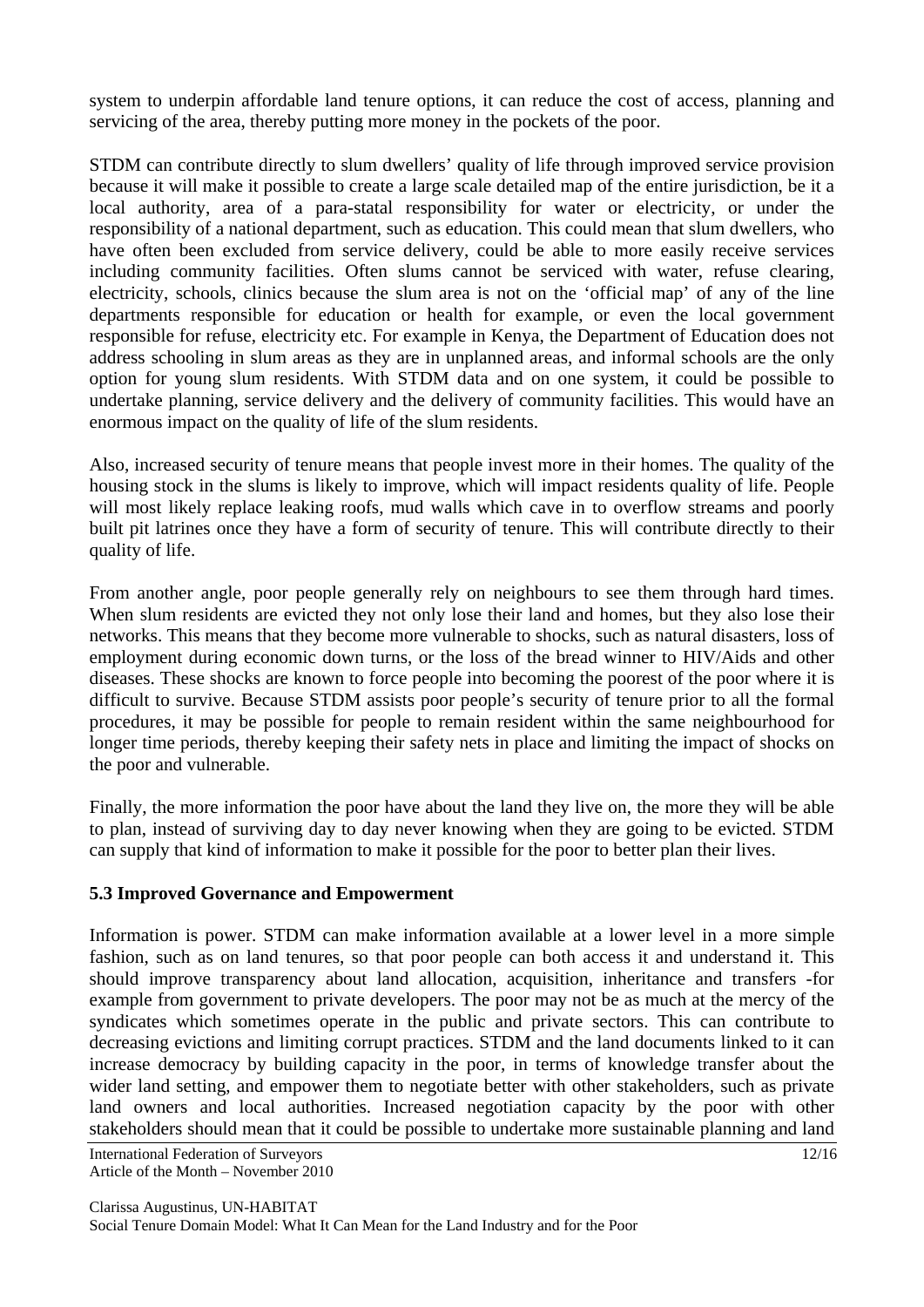system to underpin affordable land tenure options, it can reduce the cost of access, planning and servicing of the area, thereby putting more money in the pockets of the poor.

STDM can contribute directly to slum dwellers' quality of life through improved service provision because it will make it possible to create a large scale detailed map of the entire jurisdiction, be it a local authority, area of a para-statal responsibility for water or electricity, or under the responsibility of a national department, such as education. This could mean that slum dwellers, who have often been excluded from service delivery, could be able to more easily receive services including community facilities. Often slums cannot be serviced with water, refuse clearing, electricity, schools, clinics because the slum area is not on the 'official map' of any of the line departments responsible for education or health for example, or even the local government responsible for refuse, electricity etc. For example in Kenya, the Department of Education does not address schooling in slum areas as they are in unplanned areas, and informal schools are the only option for young slum residents. With STDM data and on one system, it could be possible to undertake planning, service delivery and the delivery of community facilities. This would have an enormous impact on the quality of life of the slum residents.

Also, increased security of tenure means that people invest more in their homes. The quality of the housing stock in the slums is likely to improve, which will impact residents quality of life. People will most likely replace leaking roofs, mud walls which cave in to overflow streams and poorly built pit latrines once they have a form of security of tenure. This will contribute directly to their quality of life.

From another angle, poor people generally rely on neighbours to see them through hard times. When slum residents are evicted they not only lose their land and homes, but they also lose their networks. This means that they become more vulnerable to shocks, such as natural disasters, loss of employment during economic down turns, or the loss of the bread winner to HIV/Aids and other diseases. These shocks are known to force people into becoming the poorest of the poor where it is difficult to survive. Because STDM assists poor people's security of tenure prior to all the formal procedures, it may be possible for people to remain resident within the same neighbourhood for longer time periods, thereby keeping their safety nets in place and limiting the impact of shocks on the poor and vulnerable.

Finally, the more information the poor have about the land they live on, the more they will be able to plan, instead of surviving day to day never knowing when they are going to be evicted. STDM can supply that kind of information to make it possible for the poor to better plan their lives.

### **5.3 Improved Governance and Empowerment**

Information is power. STDM can make information available at a lower level in a more simple fashion, such as on land tenures, so that poor people can both access it and understand it. This should improve transparency about land allocation, acquisition, inheritance and transfers -for example from government to private developers. The poor may not be as much at the mercy of the syndicates which sometimes operate in the public and private sectors. This can contribute to decreasing evictions and limiting corrupt practices. STDM and the land documents linked to it can increase democracy by building capacity in the poor, in terms of knowledge transfer about the wider land setting, and empower them to negotiate better with other stakeholders, such as private land owners and local authorities. Increased negotiation capacity by the poor with other stakeholders should mean that it could be possible to undertake more sustainable planning and land

International Federation of Surveyors 12/16 Article of the Month – November 2010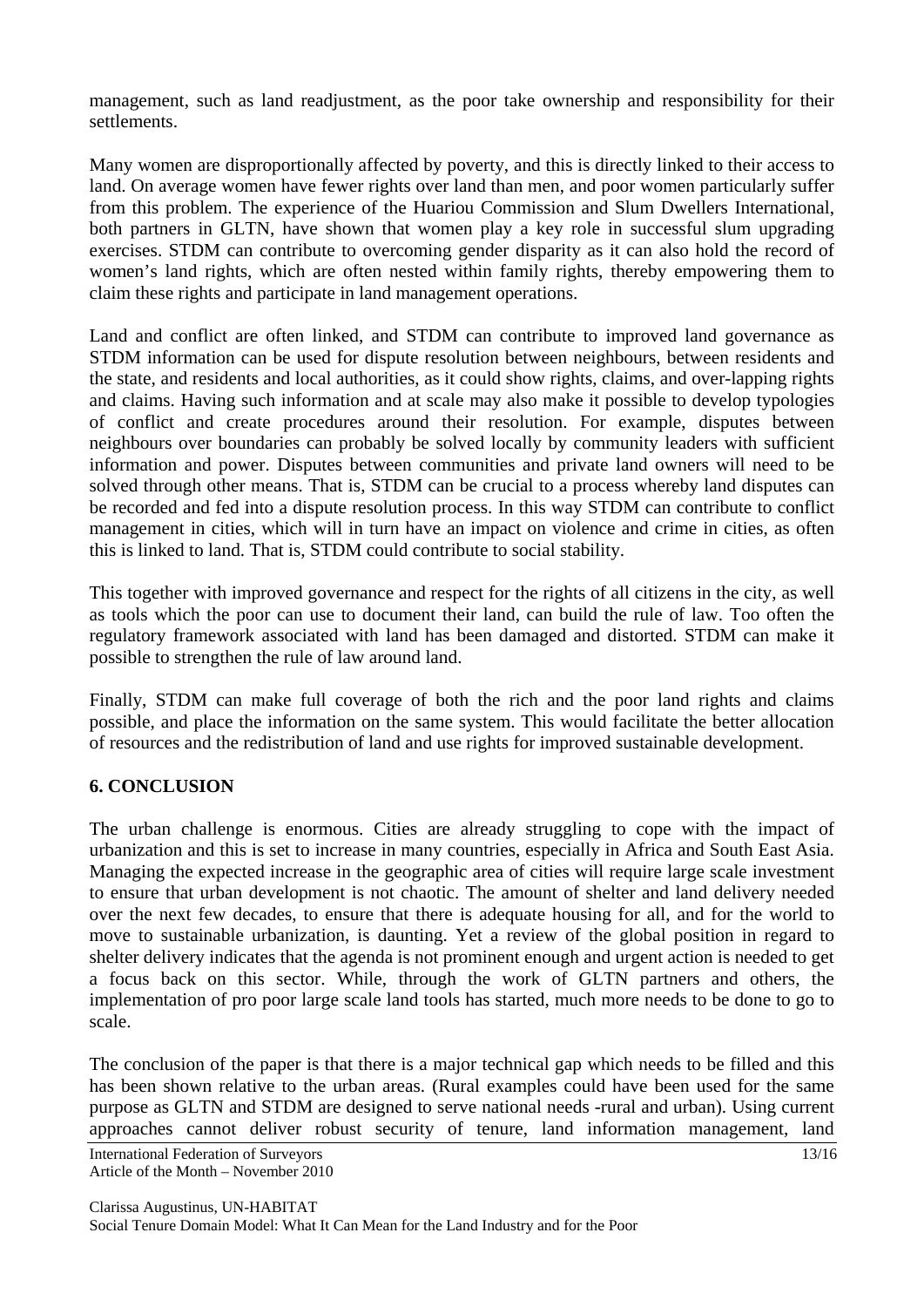management, such as land readjustment, as the poor take ownership and responsibility for their settlements.

Many women are disproportionally affected by poverty, and this is directly linked to their access to land. On average women have fewer rights over land than men, and poor women particularly suffer from this problem. The experience of the Huariou Commission and Slum Dwellers International, both partners in GLTN, have shown that women play a key role in successful slum upgrading exercises. STDM can contribute to overcoming gender disparity as it can also hold the record of women's land rights, which are often nested within family rights, thereby empowering them to claim these rights and participate in land management operations.

Land and conflict are often linked, and STDM can contribute to improved land governance as STDM information can be used for dispute resolution between neighbours, between residents and the state, and residents and local authorities, as it could show rights, claims, and over-lapping rights and claims. Having such information and at scale may also make it possible to develop typologies of conflict and create procedures around their resolution. For example, disputes between neighbours over boundaries can probably be solved locally by community leaders with sufficient information and power. Disputes between communities and private land owners will need to be solved through other means. That is, STDM can be crucial to a process whereby land disputes can be recorded and fed into a dispute resolution process. In this way STDM can contribute to conflict management in cities, which will in turn have an impact on violence and crime in cities, as often this is linked to land. That is, STDM could contribute to social stability.

This together with improved governance and respect for the rights of all citizens in the city, as well as tools which the poor can use to document their land, can build the rule of law. Too often the regulatory framework associated with land has been damaged and distorted. STDM can make it possible to strengthen the rule of law around land.

Finally, STDM can make full coverage of both the rich and the poor land rights and claims possible, and place the information on the same system. This would facilitate the better allocation of resources and the redistribution of land and use rights for improved sustainable development.

### **6. CONCLUSION**

The urban challenge is enormous. Cities are already struggling to cope with the impact of urbanization and this is set to increase in many countries, especially in Africa and South East Asia. Managing the expected increase in the geographic area of cities will require large scale investment to ensure that urban development is not chaotic. The amount of shelter and land delivery needed over the next few decades, to ensure that there is adequate housing for all, and for the world to move to sustainable urbanization, is daunting. Yet a review of the global position in regard to shelter delivery indicates that the agenda is not prominent enough and urgent action is needed to get a focus back on this sector. While, through the work of GLTN partners and others, the implementation of pro poor large scale land tools has started, much more needs to be done to go to scale.

The conclusion of the paper is that there is a major technical gap which needs to be filled and this has been shown relative to the urban areas. (Rural examples could have been used for the same purpose as GLTN and STDM are designed to serve national needs -rural and urban). Using current approaches cannot deliver robust security of tenure, land information management, land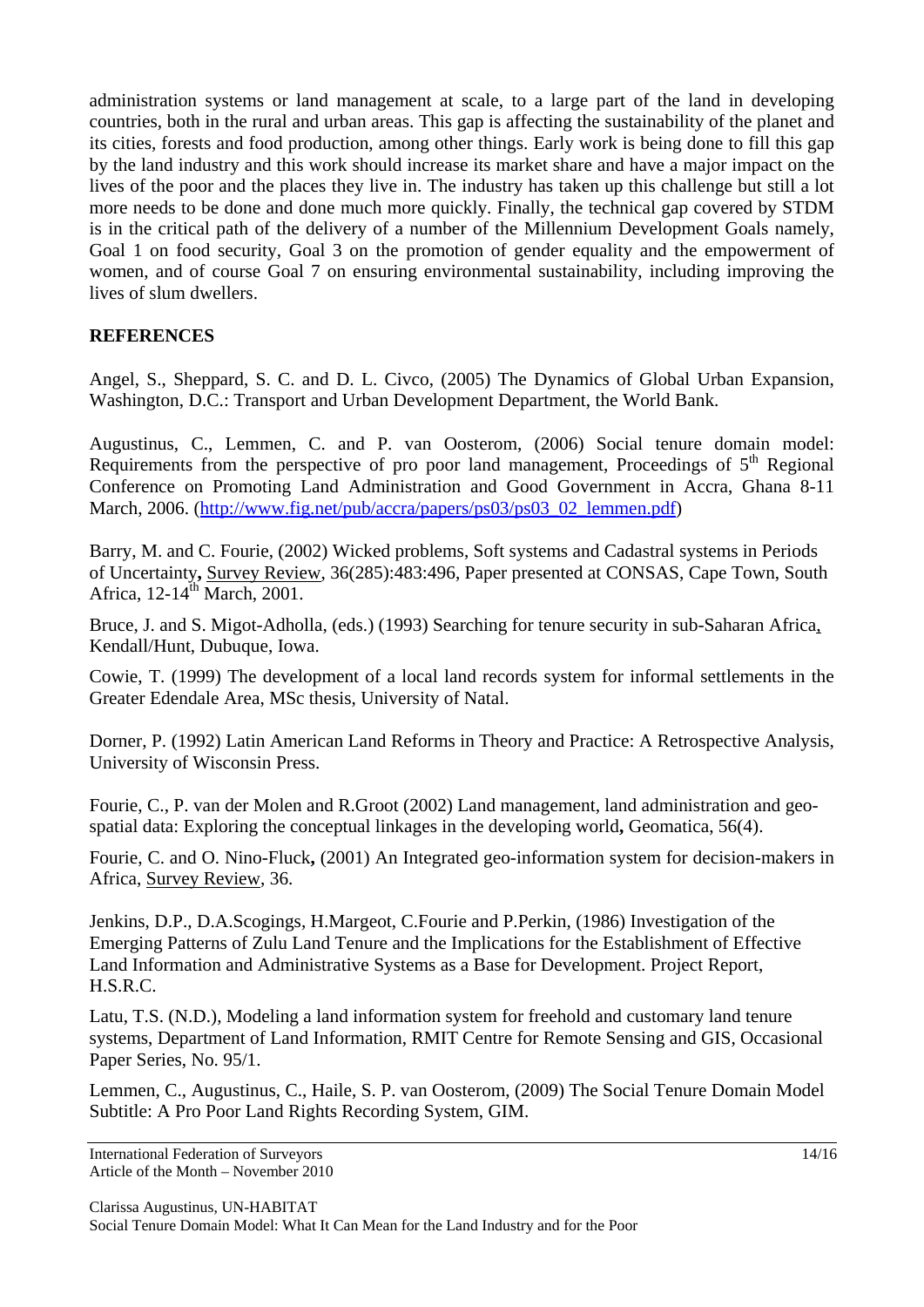administration systems or land management at scale, to a large part of the land in developing countries, both in the rural and urban areas. This gap is affecting the sustainability of the planet and its cities, forests and food production, among other things. Early work is being done to fill this gap by the land industry and this work should increase its market share and have a major impact on the lives of the poor and the places they live in. The industry has taken up this challenge but still a lot more needs to be done and done much more quickly. Finally, the technical gap covered by STDM is in the critical path of the delivery of a number of the Millennium Development Goals namely, Goal 1 on food security, Goal 3 on the promotion of gender equality and the empowerment of women, and of course Goal 7 on ensuring environmental sustainability, including improving the lives of slum dwellers.

### **REFERENCES**

Angel, S., Sheppard, S. C. and D. L. Civco, (2005) The Dynamics of Global Urban Expansion, Washington, D.C.: Transport and Urban Development Department, the World Bank.

Augustinus, C., Lemmen, C. and P. van Oosterom, (2006) Social tenure domain model: Requirements from the perspective of pro poor land management, Proceedings of  $5<sup>th</sup>$  Regional Conference on Promoting Land Administration and Good Government in Accra, Ghana 8-11 March, 2006. (http://www.fig.net/pub/accra/papers/ps03/ps03\_02\_lemmen.pdf)

Barry, M. and C. Fourie, (2002) Wicked problems, Soft systems and Cadastral systems in Periods of Uncertainty**,** Survey Review, 36(285):483:496, Paper presented at CONSAS, Cape Town, South Africa, 12-14<sup>th</sup> March, 2001.

Bruce, J. and S. Migot-Adholla, (eds.) (1993) Searching for tenure security in sub-Saharan Africa, Kendall/Hunt, Dubuque, Iowa.

Cowie, T. (1999) The development of a local land records system for informal settlements in the Greater Edendale Area, MSc thesis, University of Natal.

Dorner, P. (1992) Latin American Land Reforms in Theory and Practice: A Retrospective Analysis, University of Wisconsin Press.

Fourie, C., P. van der Molen and R.Groot (2002) Land management, land administration and geospatial data: Exploring the conceptual linkages in the developing world**,** Geomatica, 56(4).

Fourie, C. and O. Nino-Fluck**,** (2001) An Integrated geo-information system for decision-makers in Africa, Survey Review, 36.

Jenkins, D.P., D.A.Scogings, H.Margeot, C.Fourie and P.Perkin, (1986) Investigation of the Emerging Patterns of Zulu Land Tenure and the Implications for the Establishment of Effective Land Information and Administrative Systems as a Base for Development. Project Report, H.S.R.C.

Latu, T.S. (N.D.), Modeling a land information system for freehold and customary land tenure systems, Department of Land Information, RMIT Centre for Remote Sensing and GIS, Occasional Paper Series, No. 95/1.

Lemmen, C., Augustinus, C., Haile, S. P. van Oosterom, (2009) The Social Tenure Domain Model Subtitle: A Pro Poor Land Rights Recording System, GIM.

International Federation of Surveyors 14/16 Article of the Month – November 2010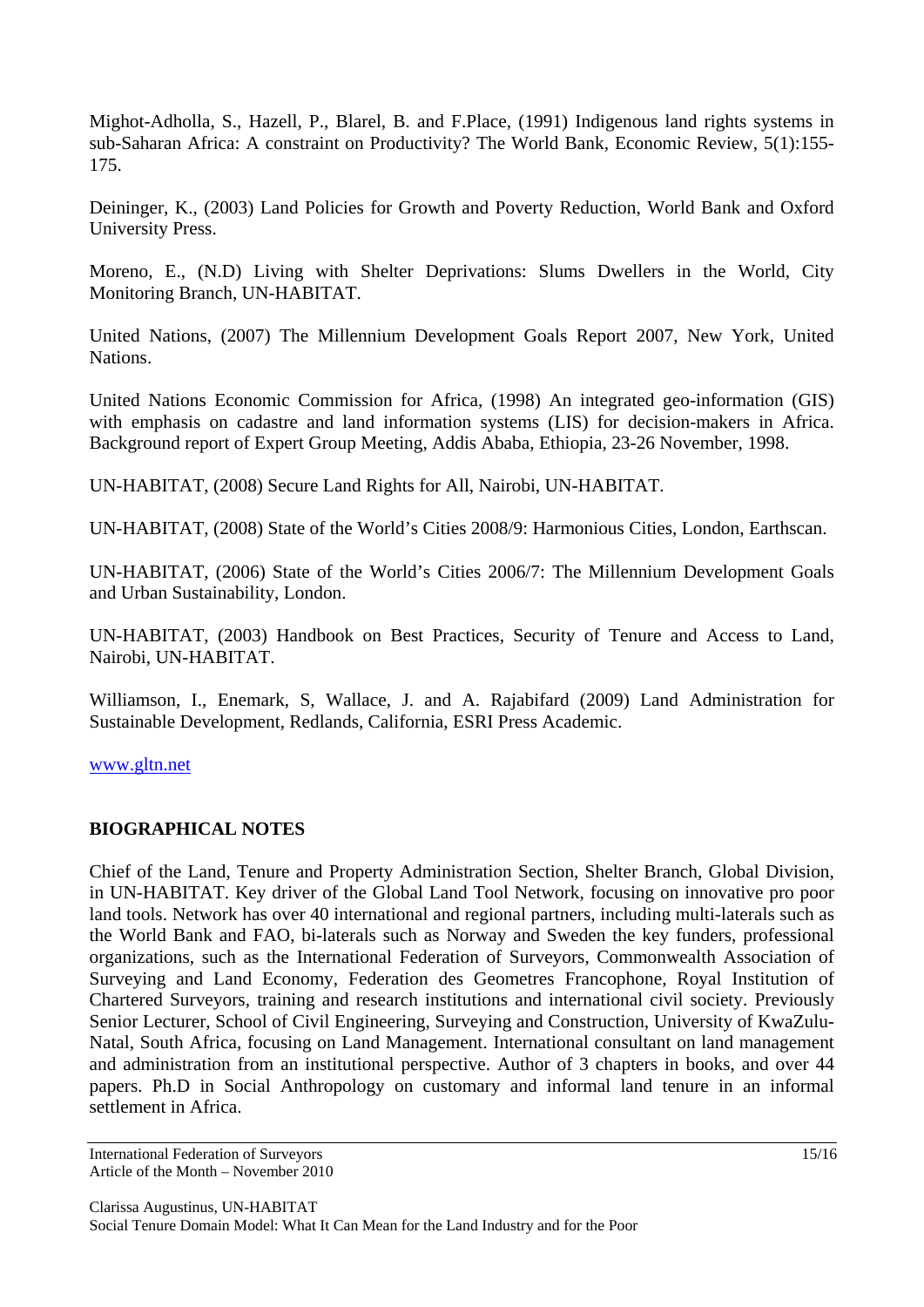Mighot-Adholla, S., Hazell, P., Blarel, B. and F.Place, (1991) Indigenous land rights systems in sub-Saharan Africa: A constraint on Productivity? The World Bank, Economic Review, 5(1):155- 175.

Deininger, K., (2003) Land Policies for Growth and Poverty Reduction, World Bank and Oxford University Press.

Moreno, E., (N.D) Living with Shelter Deprivations: Slums Dwellers in the World, City Monitoring Branch, UN-HABITAT.

United Nations, (2007) The Millennium Development Goals Report 2007, New York, United Nations.

United Nations Economic Commission for Africa, (1998) An integrated geo-information (GIS) with emphasis on cadastre and land information systems (LIS) for decision-makers in Africa. Background report of Expert Group Meeting, Addis Ababa, Ethiopia, 23-26 November, 1998.

UN-HABITAT, (2008) Secure Land Rights for All, Nairobi, UN-HABITAT.

UN-HABITAT, (2008) State of the World's Cities 2008/9: Harmonious Cities, London, Earthscan.

UN-HABITAT, (2006) State of the World's Cities 2006/7: The Millennium Development Goals and Urban Sustainability, London.

UN-HABITAT, (2003) Handbook on Best Practices, Security of Tenure and Access to Land, Nairobi, UN-HABITAT.

Williamson, I., Enemark, S, Wallace, J. and A. Rajabifard (2009) Land Administration for Sustainable Development, Redlands, California, ESRI Press Academic.

www.gltn.net

### **BIOGRAPHICAL NOTES**

Chief of the Land, Tenure and Property Administration Section, Shelter Branch, Global Division, in UN-HABITAT. Key driver of the Global Land Tool Network, focusing on innovative pro poor land tools. Network has over 40 international and regional partners, including multi-laterals such as the World Bank and FAO, bi-laterals such as Norway and Sweden the key funders, professional organizations, such as the International Federation of Surveyors, Commonwealth Association of Surveying and Land Economy, Federation des Geometres Francophone, Royal Institution of Chartered Surveyors, training and research institutions and international civil society. Previously Senior Lecturer, School of Civil Engineering, Surveying and Construction, University of KwaZulu-Natal, South Africa, focusing on Land Management. International consultant on land management and administration from an institutional perspective. Author of 3 chapters in books, and over 44 papers. Ph.D in Social Anthropology on customary and informal land tenure in an informal settlement in Africa.

International Federation of Surveyors 15/16 Article of the Month – November 2010